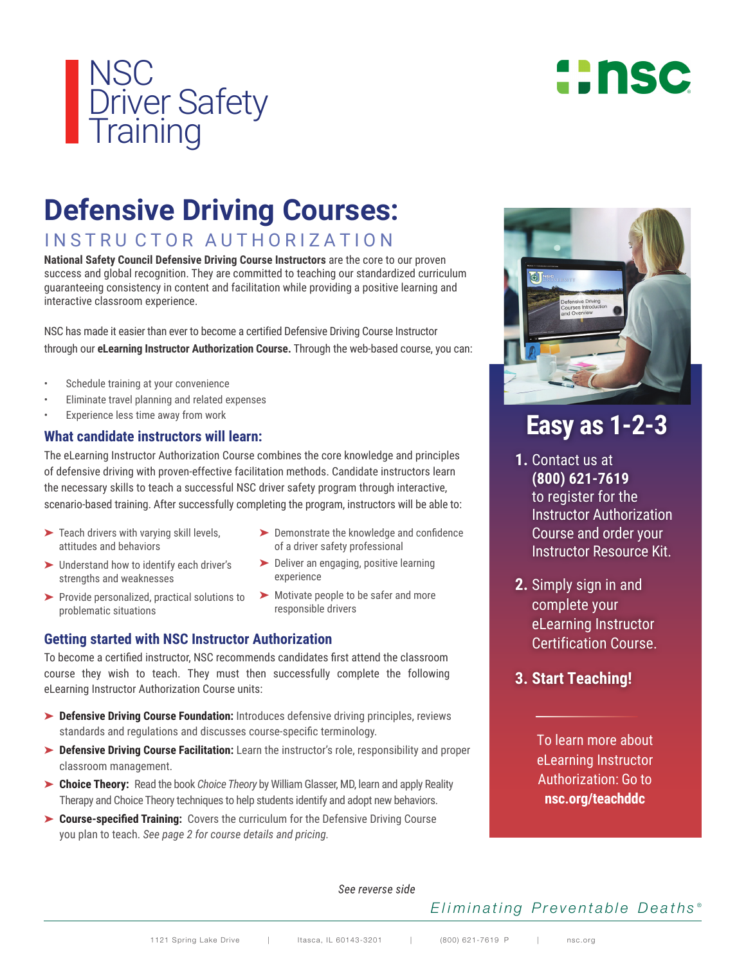

# **::nsc**

## **Defensive Driving Courses:**

INSTRU CTOR AUTHORIZATION

**National Safety Council Defensive Driving Course Instructors are the core to our proven** success and global recognition. They are committed to teaching our standardized curriculum guaranteeing consistency in content and facilitation while providing a positive learning and interactive classroom experience.

NSC has made it easier than ever to become a certified Defensive Driving Course Instructor through our **eLearning Instructor Authorization Course.** Through the web-based course, you can:

- Schedule training at your convenience
- Eliminate travel planning and related expenses
- Experience less time away from work

### **What candidate instructors will learn:**

The eLearning Instructor Authorization Course combines the core knowledge and principles of defensive driving with proven-effective facilitation methods. Candidate instructors learn the necessary skills to teach a successful NSC driver safety program through interactive, scenario-based training. After successfully completing the program, instructors will be able to:

- $\blacktriangleright$  Teach drivers with varying skill levels, attitudes and behaviors
- ➤ Understand how to identify each driver's strengths and weaknesses
- ➤ Provide personalized, practical solutions to problematic situations
- ➤ Demonstrate the knowledge and confidence of a driver safety professional
- ➤ Deliver an engaging, positive learning experience
- ➤ Motivate people to be safer and more responsible drivers

### **Getting started with NSC Instructor Authorization**

To become a certified instructor, NSC recommends candidates first attend the classroom course they wish to teach. They must then successfully complete the following eLearning Instructor Authorization Course units:

- ➤ **Defensive Driving Course Foundation:** Introduces defensive driving principles, reviews standards and regulations and discusses course-specific terminology.
- ➤ **Defensive Driving Course Facilitation:** Learn the instructor's role, responsibility and proper classroom management.
- ➤ **Choice Theory:** Read the book *Choice Theory* by William Glasser, MD, learn and apply Reality Therapy and Choice Theory techniques to help students identify and adopt new behaviors.
- ➤ **Course-specified Training:** Covers the curriculum for the Defensive Driving Course you plan to teach. *See page 2 for course details and pricing.*



### **Easy as 1-2-3**

- **1.** Contact us at **(800) 621-7619** to register for the Instructor Authorization Course and order your Instructor Resource Kit.
- **2.** Simply sign in and complete your eLearning Instructor Certification Course.
- **3. Start Teaching!**

To learn more about eLearning Instructor Authorization: Go to **nsc.org/teachddc**

See reverse side

### *Eliminating Preventable Deaths ®*